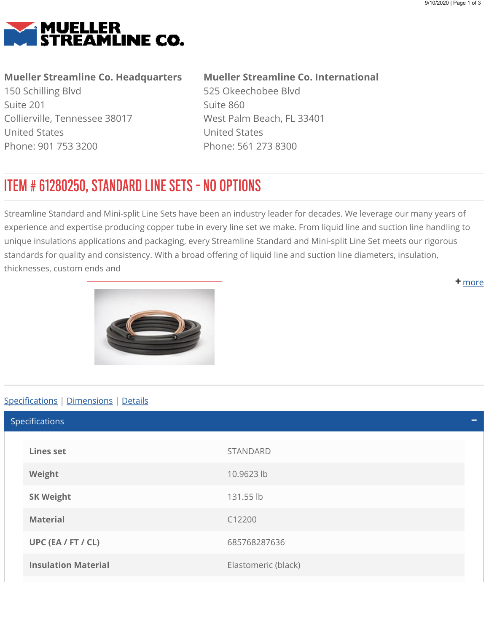<span id="page-0-0"></span>

## Mueller Streamline Co. Headquarters

150 Schilling Blvd Suite 201 Collierville, Tennessee 38017 United States Phone: 901 753 3200

## Mueller Streamline Co. International

525 Okeechobee Blvd Suite 860 West Palm Beach, FL 33401 United States Phone: 561 273 8300

## ITEM # 61280250, STANDARD LINE SETS - NO OPTIONS

Streamline Standard and Mini-split Line Sets have been an industry leader for decades. We leverage our many years of experience and expertise producing copper tube in every line set we make. From liquid line and suction line handling to unique insulations applications and packaging, every Streamline Standard and Mini-split Line Set meets our rigorous standards for quality and consistency. With a broad offering of liquid line and suction line diameters, insulation, thicknesses, custom ends and

<span id="page-0-1"></span>

## Specifications | [Dimensions](#page-1-0) | [Details](#page-1-1)

Lines set STANDARD Weight 10.9623 lb SK Weight 131.55 lb Material C12200 UPC (EA / FT / CL) 685768287636 **Insulation Material Elastomeric (black)** Specifications

**+** [m](#page-0-0)ore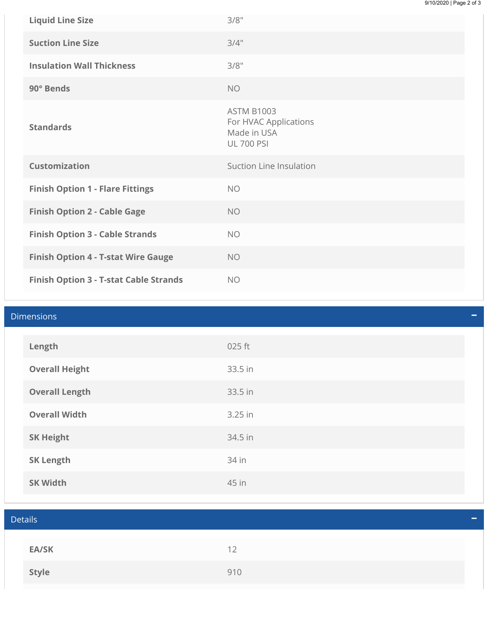| <b>Liquid Line Size</b>                    | 3/8"                                                                           |
|--------------------------------------------|--------------------------------------------------------------------------------|
| <b>Suction Line Size</b>                   | 3/4"                                                                           |
| <b>Insulation Wall Thickness</b>           | 3/8"                                                                           |
| 90° Bends                                  | <b>NO</b>                                                                      |
| <b>Standards</b>                           | <b>ASTM B1003</b><br>For HVAC Applications<br>Made in USA<br><b>UL 700 PSI</b> |
| <b>Customization</b>                       | Suction Line Insulation                                                        |
|                                            |                                                                                |
| <b>Finish Option 1 - Flare Fittings</b>    | <b>NO</b>                                                                      |
| <b>Finish Option 2 - Cable Gage</b>        | <b>NO</b>                                                                      |
| <b>Finish Option 3 - Cable Strands</b>     | <b>NO</b>                                                                      |
| <b>Finish Option 4 - T-stat Wire Gauge</b> | <b>NO</b>                                                                      |

<span id="page-1-1"></span><span id="page-1-0"></span>

| <b>Dimensions</b> |                       |         |  |
|-------------------|-----------------------|---------|--|
|                   | Length                | 025 ft  |  |
|                   | <b>Overall Height</b> | 33.5 in |  |
|                   | <b>Overall Length</b> | 33.5 in |  |
|                   | <b>Overall Width</b>  | 3.25 in |  |
|                   | <b>SK Height</b>      | 34.5 in |  |
|                   | <b>SK Length</b>      | 34 in   |  |
|                   | <b>SK Width</b>       | 45 in   |  |

| <b>Details</b> |     |  |
|----------------|-----|--|
|                |     |  |
| <b>EA/SK</b>   | 12  |  |
| Style          | 910 |  |